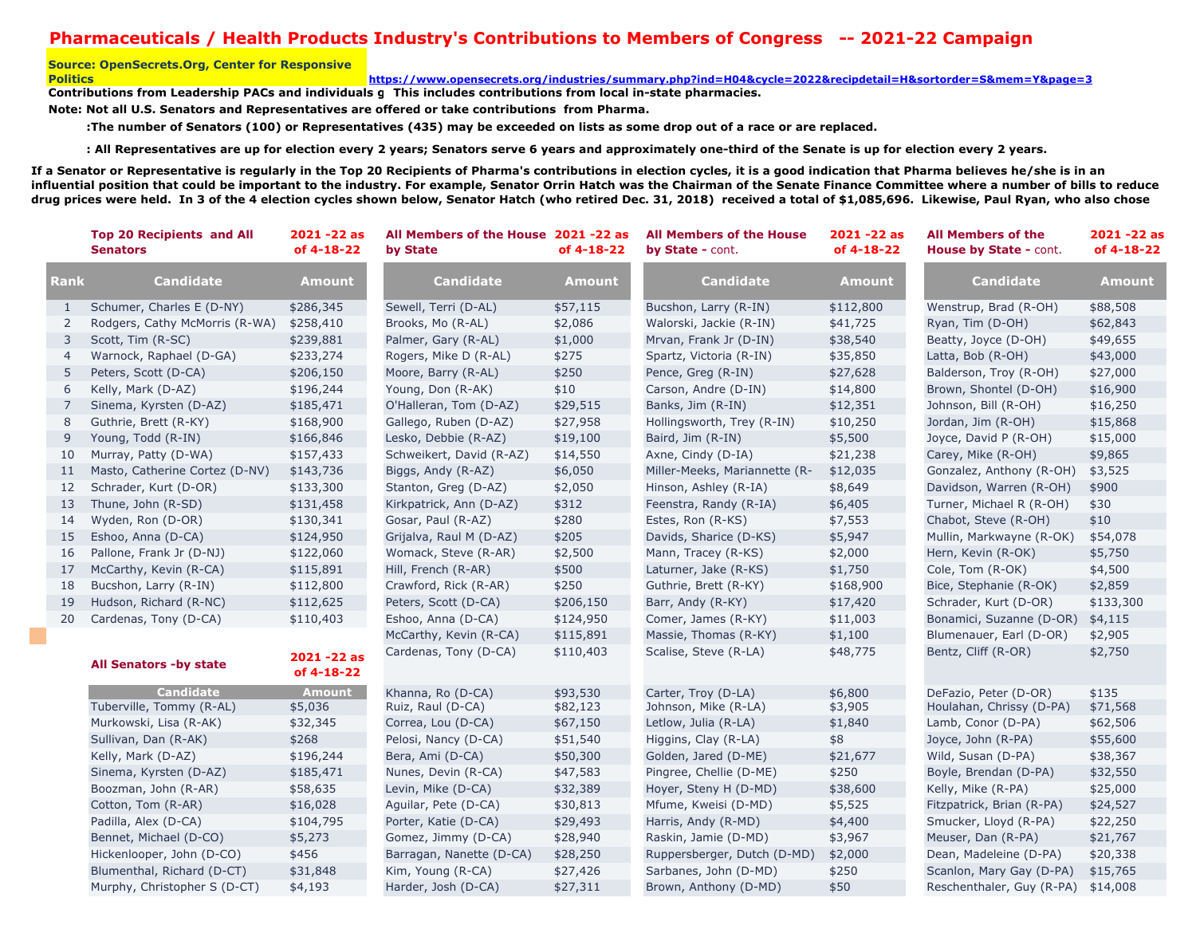## **Pharmaceuticals / Health Products Industry's Contributions to Members of Congress -- 2021-22 Campaign**

## **Source: OpenSecrets.Org, Center for Responsive Politics**

**https://www.opensecrets.org/industries/summary.php?ind=H04&cycle=2022&recipdetail=H&sortorder=S&mem=Y&page=3**

Contributions from Leadership PACs and individuals **g** This includes contributions from local in-state pharmacies.

**Note: Not all U.S. Senators and Representatives are offered or take contributions from Pharma.**

 **:The number of Senators (100) or Representatives (435) may be exceeded on lists as some drop out of a race or are replaced.** 

 **: All Representatives are up for election every 2 years; Senators serve 6 years and approximately one-third of the Senate is up for election every 2 years.**

**If a Senator or Representative is regularly in the Top 20 Recipients of Pharma's contributions in election cycles, it is a good indication that Pharma believes he/she is in an influential position that could be important to the industry. For example, Senator Orrin Hatch was the Chairman of the Senate Finance Committee where a number of bills to reduce drug prices were held. In 3 of the 4 election cycles shown below, Senator Hatch (who retired Dec. 31, 2018) received a total of \$1,085,696. Likewise, Paul Ryan, who also chose** 

|                   | <b>Top 20 Recipients and All</b><br><b>Senators</b> | 2021 - 22 as<br>of 4-18-22 | All Members of the House 2021-22 as<br>by State | of 4-18-22    | <b>All Members of the House</b><br>by State - cont. | $2021 - 22$ as<br>of 4-18-22 | <b>All Members of the</b><br><b>House by State - cont.</b> | 2021 - 22 as<br>of 4-18-22 |
|-------------------|-----------------------------------------------------|----------------------------|-------------------------------------------------|---------------|-----------------------------------------------------|------------------------------|------------------------------------------------------------|----------------------------|
| <b>Rank</b>       | <b>Candidate</b>                                    | <b>Amount</b>              | <b>Candidate</b>                                | <b>Amount</b> | <b>Candidate</b>                                    | <b>Amount</b>                | <b>Candidate</b>                                           | <b>Amount</b>              |
| $\mathbf{1}$      | Schumer, Charles E (D-NY)                           | \$286,345                  | Sewell, Terri (D-AL)                            | \$57,115      | Bucshon, Larry (R-IN)                               | \$112,800                    | Wenstrup, Brad (R-OH)                                      | \$88,508                   |
| 2                 | Rodgers, Cathy McMorris (R-WA)                      | \$258,410                  | Brooks, Mo (R-AL)                               | \$2,086       | Walorski, Jackie (R-IN)                             | \$41,725                     | Ryan, Tim (D-OH)                                           | \$62,843                   |
| 3                 | Scott, Tim (R-SC)                                   | \$239,881                  | Palmer, Gary (R-AL)                             | \$1,000       | Mrvan, Frank Jr (D-IN)                              | \$38,540                     | Beatty, Joyce (D-OH)                                       | \$49,655                   |
| $\overline{4}$    | Warnock, Raphael (D-GA)                             | \$233,274                  | Rogers, Mike D (R-AL)                           | \$275         | Spartz, Victoria (R-IN)                             | \$35,850                     | Latta, Bob (R-OH)                                          | \$43,000                   |
| 5                 | Peters, Scott (D-CA)                                | \$206,150                  | Moore, Barry (R-AL)                             | \$250         | Pence, Greg (R-IN)                                  | \$27,628                     | Balderson, Troy (R-OH)                                     | \$27,000                   |
| 6                 | Kelly, Mark (D-AZ)                                  | \$196,244                  | Young, Don (R-AK)                               | \$10          | Carson, Andre (D-IN)                                | \$14,800                     | Brown, Shontel (D-OH)                                      | \$16,900                   |
| $\overline{7}$    | Sinema, Kyrsten (D-AZ)                              | \$185,471                  | O'Halleran, Tom (D-AZ)                          | \$29,515      | Banks, Jim (R-IN)                                   | \$12,351                     | Johnson, Bill (R-OH)                                       | \$16,250                   |
| 8                 | Guthrie, Brett (R-KY)                               | \$168,900                  | Gallego, Ruben (D-AZ)                           | \$27,958      | Hollingsworth, Trey (R-IN)                          | \$10,250                     | Jordan, Jim (R-OH)                                         | \$15,868                   |
| 9                 | Young, Todd (R-IN)                                  | \$166,846                  | Lesko, Debbie (R-AZ)                            | \$19,100      | Baird, Jim (R-IN)                                   | \$5,500                      | Joyce, David P (R-OH)                                      | \$15,000                   |
| 10                | Murray, Patty (D-WA)                                | \$157,433                  | Schweikert, David (R-AZ)                        | \$14,550      | Axne, Cindy (D-IA)                                  | \$21,238                     | Carey, Mike (R-OH)                                         | \$9,865                    |
| 11                | Masto, Catherine Cortez (D-NV)                      | \$143,736                  | Biggs, Andy (R-AZ)                              | \$6,050       | Miller-Meeks, Mariannette (R-                       | \$12,035                     | Gonzalez, Anthony (R-OH)                                   | \$3,525                    |
| $12 \overline{ }$ | Schrader, Kurt (D-OR)                               | \$133,300                  | Stanton, Greg (D-AZ)                            | \$2,050       | Hinson, Ashley (R-IA)                               | \$8,649                      | Davidson, Warren (R-OH)                                    | \$900                      |
| 13                | Thune, John (R-SD)                                  | \$131,458                  | Kirkpatrick, Ann (D-AZ)                         | \$312         | Feenstra, Randy (R-IA)                              | \$6,405                      | Turner, Michael R (R-OH)                                   | \$30                       |
| 14                | Wyden, Ron (D-OR)                                   | \$130,341                  | Gosar, Paul (R-AZ)                              | \$280         | Estes, Ron (R-KS)                                   | \$7,553                      | Chabot, Steve (R-OH)                                       | \$10                       |
| 15                | Eshoo, Anna (D-CA)                                  | \$124,950                  | Grijalva, Raul M (D-AZ)                         | \$205         | Davids, Sharice (D-KS)                              | \$5,947                      | Mullin, Markwayne (R-OK)                                   | \$54,078                   |
| 16                | Pallone, Frank Jr (D-NJ)                            | \$122,060                  | Womack, Steve (R-AR)                            | \$2,500       | Mann, Tracey (R-KS)                                 | \$2,000                      | Hern, Kevin (R-OK)                                         | \$5,750                    |
| 17                | McCarthy, Kevin (R-CA)                              | \$115,891                  | Hill, French (R-AR)                             | \$500         | Laturner, Jake (R-KS)                               | \$1,750                      | Cole, Tom (R-OK)                                           | \$4,500                    |
| 18                | Bucshon, Larry (R-IN)                               | \$112,800                  | Crawford, Rick (R-AR)                           | \$250         | Guthrie, Brett (R-KY)                               | \$168,900                    | Bice, Stephanie (R-OK)                                     | \$2,859                    |
| 19                | Hudson, Richard (R-NC)                              | \$112,625                  | Peters, Scott (D-CA)                            | \$206,150     | Barr, Andy (R-KY)                                   | \$17,420                     | Schrader, Kurt (D-OR)                                      | \$133,300                  |
| 20                | Cardenas, Tony (D-CA)                               | \$110,403                  | Eshoo, Anna (D-CA)                              | \$124,950     | Comer, James (R-KY)                                 | \$11,003                     | Bonamici, Suzanne (D-OR)                                   | \$4,115                    |
|                   |                                                     |                            | McCarthy, Kevin (R-CA)                          | \$115,891     | Massie, Thomas (R-KY)                               | \$1,100                      | Blumenauer, Earl (D-OR)                                    | \$2,905                    |
|                   | <b>All Senators -by state</b>                       | 2021 - 22 as<br>of 4-18-22 | Cardenas, Tony (D-CA)                           | \$110,403     | Scalise, Steve (R-LA)                               | \$48,775                     | Bentz, Cliff (R-OR)                                        | \$2,750                    |
|                   | <b>Candidate</b>                                    | Amount                     | Khanna, Ro (D-CA)                               | \$93,530      | Carter, Troy (D-LA)                                 | \$6,800                      | DeFazio, Peter (D-OR)                                      | \$135                      |
|                   | Tuberville, Tommy (R-AL)                            | \$5,036                    | Ruiz, Raul (D-CA)                               | \$82,123      | Johnson, Mike (R-LA)                                | \$3,905                      | Houlahan, Chrissy (D-PA)                                   | \$71,568                   |
|                   | Murkowski, Lisa (R-AK)                              | \$32,345                   | Correa, Lou (D-CA)                              | \$67,150      | Letlow, Julia (R-LA)                                | \$1,840                      | Lamb, Conor (D-PA)                                         | \$62,506                   |
|                   | Sullivan, Dan (R-AK)                                | \$268                      | Pelosi, Nancy (D-CA)                            | \$51,540      | Higgins, Clay (R-LA)                                | \$8                          | Joyce, John (R-PA)                                         | \$55,600                   |
|                   | Kelly, Mark (D-AZ)                                  | \$196,244                  | Bera, Ami (D-CA)                                | \$50,300      | Golden, Jared (D-ME)                                | \$21,677                     | Wild, Susan (D-PA)                                         | \$38,367                   |
|                   | Sinema, Kyrsten (D-AZ)                              | \$185,471                  | Nunes, Devin (R-CA)                             | \$47,583      | Pingree, Chellie (D-ME)                             | \$250                        | Boyle, Brendan (D-PA)                                      | \$32,550                   |
|                   | Boozman, John (R-AR)                                | \$58,635                   | Levin, Mike (D-CA)                              | \$32,389      | Hoyer, Steny H (D-MD)                               | \$38,600                     | Kelly, Mike (R-PA)                                         | \$25,000                   |
|                   | Cotton, Tom (R-AR)                                  | \$16,028                   | Aguilar, Pete (D-CA)                            | \$30,813      | Mfume, Kweisi (D-MD)                                | \$5,525                      | Fitzpatrick, Brian (R-PA)                                  | \$24,527                   |
|                   | Padilla, Alex (D-CA)                                | \$104,795                  | Porter, Katie (D-CA)                            | \$29,493      | Harris, Andy (R-MD)                                 | \$4,400                      | Smucker, Lloyd (R-PA)                                      | \$22,250                   |
|                   | Bennet, Michael (D-CO)                              | \$5,273                    | Gomez, Jimmy (D-CA)                             | \$28,940      | Raskin, Jamie (D-MD)                                | \$3,967                      | Meuser, Dan (R-PA)                                         | \$21,767                   |
|                   | Hickenlooper, John (D-CO)                           | \$456                      | Barragan, Nanette (D-CA)                        | \$28,250      | Ruppersberger, Dutch (D-MD)                         | \$2,000                      | Dean, Madeleine (D-PA)                                     | \$20,338                   |
|                   | Blumenthal, Richard (D-CT)                          | \$31,848                   | Kim, Young (R-CA)                               | \$27,426      | Sarbanes, John (D-MD)                               | \$250                        | Scanlon, Mary Gay (D-PA)                                   | \$15,765                   |
|                   | Murphy, Christopher S (D-CT)                        | \$4,193                    | Harder, Josh (D-CA)                             | \$27,311      | Brown, Anthony (D-MD)                               | \$50                         | Reschenthaler, Guy (R-PA) \$14,008                         |                            |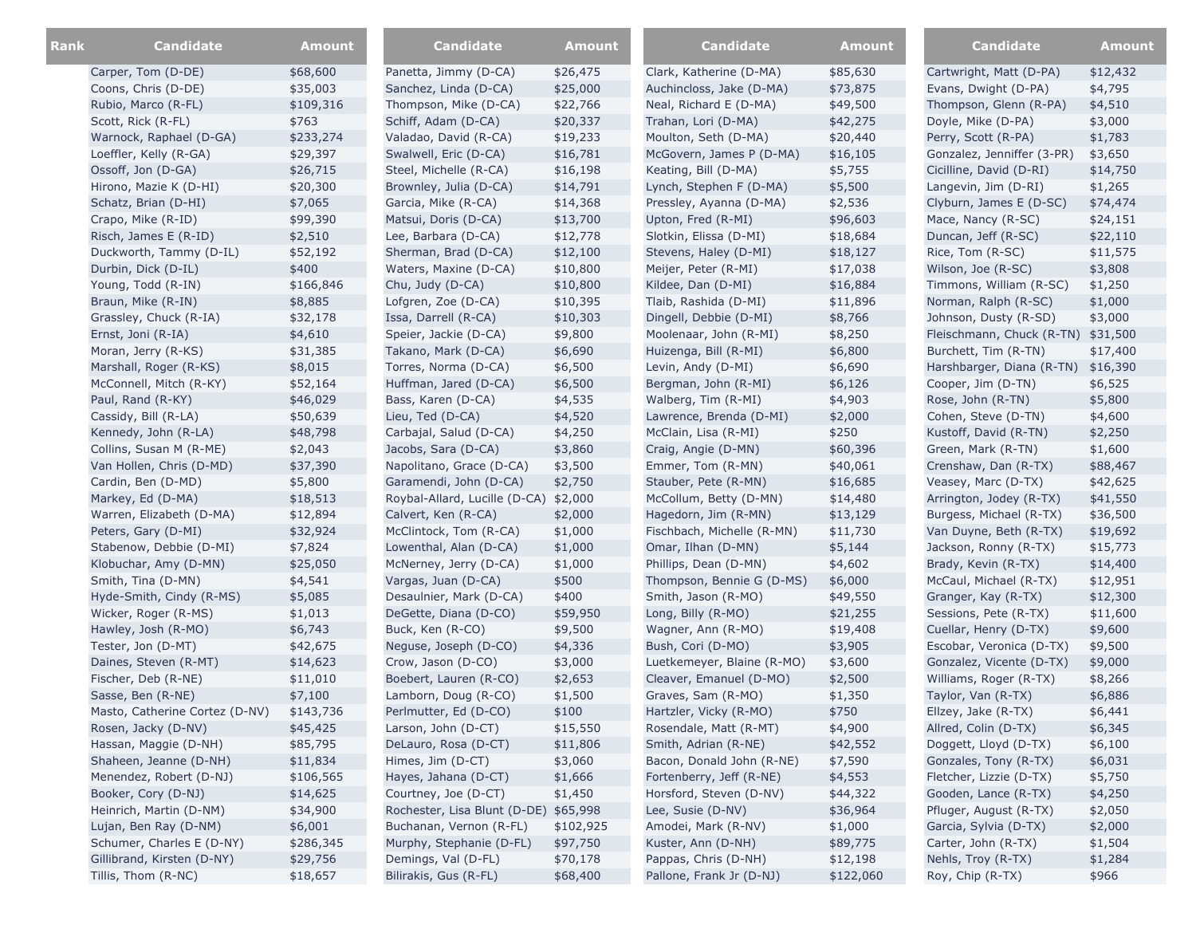| Rank | <b>Candidate</b>               | <b>Amount</b> | <b>Candidate</b>                      | <b>Amount</b> | <b>Candidate</b>           | <b>Amount</b> | Candidate                          | <b>Amount</b> |
|------|--------------------------------|---------------|---------------------------------------|---------------|----------------------------|---------------|------------------------------------|---------------|
|      | Carper, Tom (D-DE)             | \$68,600      | Panetta, Jimmy (D-CA)                 | \$26,475      | Clark, Katherine (D-MA)    | \$85,630      | Cartwright, Matt (D-PA)            | \$12,432      |
|      | Coons, Chris (D-DE)            | \$35,003      | Sanchez, Linda (D-CA)                 | \$25,000      | Auchincloss, Jake (D-MA)   | \$73,875      | Evans, Dwight (D-PA)               | \$4,795       |
|      | Rubio, Marco (R-FL)            | \$109,316     | Thompson, Mike (D-CA)                 | \$22,766      | Neal, Richard E (D-MA)     | \$49,500      | Thompson, Glenn (R-PA)             | \$4,510       |
|      | Scott, Rick (R-FL)             | \$763         | Schiff, Adam (D-CA)                   | \$20,337      | Trahan, Lori (D-MA)        | \$42,275      | Doyle, Mike (D-PA)                 | \$3,000       |
|      | Warnock, Raphael (D-GA)        | \$233,274     | Valadao, David (R-CA)                 | \$19,233      | Moulton, Seth (D-MA)       | \$20,440      | Perry, Scott (R-PA)                | \$1,783       |
|      | Loeffler, Kelly (R-GA)         | \$29,397      | Swalwell, Eric (D-CA)                 | \$16,781      | McGovern, James P (D-MA)   | \$16,105      | Gonzalez, Jenniffer (3-PR)         | \$3,650       |
|      | Ossoff, Jon (D-GA)             | \$26,715      | Steel, Michelle (R-CA)                | \$16,198      | Keating, Bill (D-MA)       | \$5,755       | Cicilline, David (D-RI)            | \$14,750      |
|      | Hirono, Mazie K (D-HI)         | \$20,300      | Brownley, Julia (D-CA)                | \$14,791      | Lynch, Stephen F (D-MA)    | \$5,500       | Langevin, Jim (D-RI)               | \$1,265       |
|      | Schatz, Brian (D-HI)           | \$7,065       | Garcia, Mike (R-CA)                   | \$14,368      | Pressley, Ayanna (D-MA)    | \$2,536       | Clyburn, James E (D-SC)            | \$74,474      |
|      | Crapo, Mike (R-ID)             | \$99,390      | Matsui, Doris (D-CA)                  | \$13,700      | Upton, Fred (R-MI)         | \$96,603      | Mace, Nancy (R-SC)                 | \$24,151      |
|      | Risch, James E (R-ID)          | \$2,510       | Lee, Barbara (D-CA)                   | \$12,778      | Slotkin, Elissa (D-MI)     | \$18,684      | Duncan, Jeff (R-SC)                | \$22,110      |
|      | Duckworth, Tammy (D-IL)        | \$52,192      | Sherman, Brad (D-CA)                  | \$12,100      | Stevens, Haley (D-MI)      | \$18,127      | Rice, Tom (R-SC)                   | \$11,575      |
|      | Durbin, Dick (D-IL)            | \$400         | Waters, Maxine (D-CA)                 | \$10,800      | Meijer, Peter (R-MI)       | \$17,038      | Wilson, Joe (R-SC)                 | \$3,808       |
|      | Young, Todd (R-IN)             | \$166,846     | Chu, Judy (D-CA)                      | \$10,800      | Kildee, Dan (D-MI)         | \$16,884      | Timmons, William (R-SC)            | \$1,250       |
|      | Braun, Mike (R-IN)             | \$8,885       | Lofgren, Zoe (D-CA)                   | \$10,395      | Tlaib, Rashida (D-MI)      | \$11,896      | Norman, Ralph (R-SC)               | \$1,000       |
|      | Grassley, Chuck (R-IA)         | \$32,178      | Issa, Darrell (R-CA)                  | \$10,303      | Dingell, Debbie (D-MI)     | \$8,766       | Johnson, Dusty (R-SD)              | \$3,000       |
|      | Ernst, Joni (R-IA)             | \$4,610       | Speier, Jackie (D-CA)                 | \$9,800       | Moolenaar, John (R-MI)     | \$8,250       | Fleischmann, Chuck (R-TN) \$31,500 |               |
|      | Moran, Jerry (R-KS)            | \$31,385      | Takano, Mark (D-CA)                   | \$6,690       | Huizenga, Bill (R-MI)      | \$6,800       | Burchett, Tim (R-TN)               | \$17,400      |
|      | Marshall, Roger (R-KS)         | \$8,015       | Torres, Norma (D-CA)                  | \$6,500       | Levin, Andy (D-MI)         | \$6,690       | Harshbarger, Diana (R-TN)          | \$16,390      |
|      | McConnell, Mitch (R-KY)        | \$52,164      | Huffman, Jared (D-CA)                 | \$6,500       | Bergman, John (R-MI)       | \$6,126       | Cooper, Jim (D-TN)                 | \$6,525       |
|      | Paul, Rand (R-KY)              | \$46,029      | Bass, Karen (D-CA)                    | \$4,535       | Walberg, Tim (R-MI)        | \$4,903       | Rose, John (R-TN)                  | \$5,800       |
|      | Cassidy, Bill (R-LA)           | \$50,639      | Lieu, Ted (D-CA)                      | \$4,520       | Lawrence, Brenda (D-MI)    | \$2,000       | Cohen, Steve (D-TN)                | \$4,600       |
|      | Kennedy, John (R-LA)           | \$48,798      | Carbajal, Salud (D-CA)                | \$4,250       | McClain, Lisa (R-MI)       | \$250         | Kustoff, David (R-TN)              | \$2,250       |
|      | Collins, Susan M (R-ME)        | \$2,043       | Jacobs, Sara (D-CA)                   | \$3,860       | Craig, Angie (D-MN)        | \$60,396      | Green, Mark (R-TN)                 | \$1,600       |
|      | Van Hollen, Chris (D-MD)       | \$37,390      | Napolitano, Grace (D-CA)              | \$3,500       | Emmer, Tom (R-MN)          | \$40,061      | Crenshaw, Dan (R-TX)               | \$88,467      |
|      | Cardin, Ben (D-MD)             | \$5,800       | Garamendi, John (D-CA)                | \$2,750       | Stauber, Pete (R-MN)       | \$16,685      | Veasey, Marc (D-TX)                | \$42,625      |
|      | Markey, Ed (D-MA)              | \$18,513      | Roybal-Allard, Lucille (D-CA) \$2,000 |               | McCollum, Betty (D-MN)     | \$14,480      | Arrington, Jodey (R-TX)            | \$41,550      |
|      | Warren, Elizabeth (D-MA)       | \$12,894      | Calvert, Ken (R-CA)                   | \$2,000       | Hagedorn, Jim (R-MN)       | \$13,129      | Burgess, Michael (R-TX)            | \$36,500      |
|      | Peters, Gary (D-MI)            | \$32,924      | McClintock, Tom (R-CA)                | \$1,000       | Fischbach, Michelle (R-MN) | \$11,730      | Van Duyne, Beth (R-TX)             | \$19,692      |
|      | Stabenow, Debbie (D-MI)        | \$7,824       | Lowenthal, Alan (D-CA)                | \$1,000       | Omar, Ilhan (D-MN)         | \$5,144       | Jackson, Ronny (R-TX)              | \$15,773      |
|      | Klobuchar, Amy (D-MN)          | \$25,050      | McNerney, Jerry (D-CA)                | \$1,000       | Phillips, Dean (D-MN)      | \$4,602       | Brady, Kevin (R-TX)                | \$14,400      |
|      | Smith, Tina (D-MN)             | \$4,541       | Vargas, Juan (D-CA)                   | \$500         | Thompson, Bennie G (D-MS)  | \$6,000       | McCaul, Michael (R-TX)             | \$12,951      |
|      | Hyde-Smith, Cindy (R-MS)       | \$5,085       | Desaulnier, Mark (D-CA)               | \$400         | Smith, Jason (R-MO)        | \$49,550      | Granger, Kay (R-TX)                | \$12,300      |
|      | Wicker, Roger (R-MS)           | \$1,013       | DeGette, Diana (D-CO)                 | \$59,950      | Long, Billy (R-MO)         | \$21,255      | Sessions, Pete (R-TX)              | \$11,600      |
|      | Hawley, Josh (R-MO)            | \$6,743       | Buck, Ken (R-CO)                      | \$9,500       | Wagner, Ann (R-MO)         | \$19,408      | Cuellar, Henry (D-TX)              | \$9,600       |
|      | Tester, Jon (D-MT)             | \$42,675      | Neguse, Joseph (D-CO)                 | \$4,336       | Bush, Cori (D-MO)          | \$3,905       | Escobar, Veronica (D-TX)           | \$9,500       |
|      | Daines, Steven (R-MT)          | \$14,623      | Crow, Jason (D-CO)                    | \$3,000       | Luetkemeyer, Blaine (R-MO) | \$3,600       | Gonzalez, Vicente (D-TX)           | \$9,000       |
|      | Fischer, Deb (R-NE)            | \$11,010      | Boebert, Lauren (R-CO)                | \$2,653       | Cleaver, Emanuel (D-MO)    | \$2,500       | Williams, Roger (R-TX)             | \$8,266       |
|      | Sasse, Ben (R-NE)              | \$7,100       | Lamborn, Doug (R-CO)                  | \$1,500       | Graves, Sam (R-MO)         | \$1,350       | Taylor, Van (R-TX)                 | \$6,886       |
|      | Masto, Catherine Cortez (D-NV) | \$143,736     | Perlmutter, Ed (D-CO)                 | \$100         | Hartzler, Vicky (R-MO)     | \$750         | Ellzey, Jake (R-TX)                | \$6,441       |
|      | Rosen, Jacky (D-NV)            | \$45,425      | Larson, John (D-CT)                   | \$15,550      | Rosendale, Matt (R-MT)     | \$4,900       | Allred, Colin (D-TX)               | \$6,345       |
|      | Hassan, Maggie (D-NH)          | \$85,795      | DeLauro, Rosa (D-CT)                  | \$11,806      | Smith, Adrian (R-NE)       | \$42,552      | Doggett, Lloyd (D-TX)              | \$6,100       |
|      | Shaheen, Jeanne (D-NH)         | \$11,834      | Himes, Jim (D-CT)                     | \$3,060       | Bacon, Donald John (R-NE)  | \$7,590       | Gonzales, Tony (R-TX)              | \$6,031       |
|      | Menendez, Robert (D-NJ)        | \$106,565     | Hayes, Jahana (D-CT)                  | \$1,666       | Fortenberry, Jeff (R-NE)   | \$4,553       | Fletcher, Lizzie (D-TX)            | \$5,750       |
|      | Booker, Cory (D-NJ)            | \$14,625      | Courtney, Joe (D-CT)                  | \$1,450       | Horsford, Steven (D-NV)    | \$44,322      | Gooden, Lance (R-TX)               | \$4,250       |
|      | Heinrich, Martin (D-NM)        | \$34,900      | Rochester, Lisa Blunt (D-DE) \$65,998 |               | Lee, Susie (D-NV)          | \$36,964      | Pfluger, August (R-TX)             | \$2,050       |
|      | Lujan, Ben Ray (D-NM)          | \$6,001       | Buchanan, Vernon (R-FL)               | \$102,925     | Amodei, Mark (R-NV)        | \$1,000       | Garcia, Sylvia (D-TX)              | \$2,000       |
|      | Schumer, Charles E (D-NY)      | \$286,345     | Murphy, Stephanie (D-FL)              | \$97,750      | Kuster, Ann (D-NH)         | \$89,775      | Carter, John (R-TX)                | \$1,504       |
|      | Gillibrand, Kirsten (D-NY)     | \$29,756      | Demings, Val (D-FL)                   | \$70,178      | Pappas, Chris (D-NH)       | \$12,198      | Nehls, Troy (R-TX)                 | \$1,284       |
|      | Tillis, Thom (R-NC)            | \$18,657      | Bilirakis, Gus (R-FL)                 | \$68,400      | Pallone, Frank Jr (D-NJ)   | \$122,060     | Roy, Chip (R-TX)                   | \$966         |
|      |                                |               |                                       |               |                            |               |                                    |               |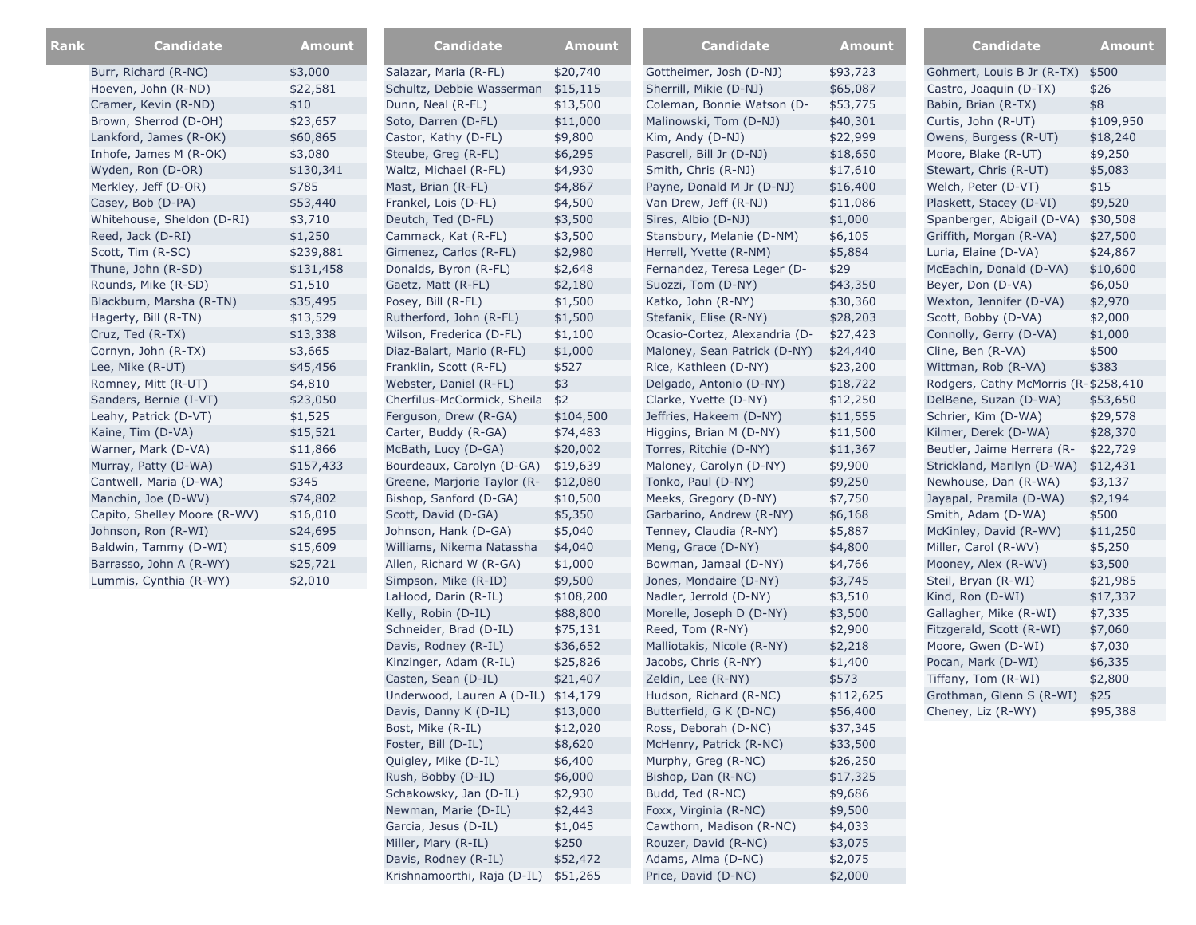| Rank | <b>Candidate</b>             | <b>Amount</b> | <b>Candidate</b>                    | Amount    | <b>Candidate</b>              | Amount    | <b>Candidate</b>                     | <b>Amount</b> |
|------|------------------------------|---------------|-------------------------------------|-----------|-------------------------------|-----------|--------------------------------------|---------------|
|      | Burr, Richard (R-NC)         | \$3,000       | Salazar, Maria (R-FL)               | \$20,740  | Gottheimer, Josh (D-NJ)       | \$93,723  | Gohmert, Louis B Jr (R-TX)           | \$500         |
|      | Hoeven, John (R-ND)          | \$22,581      | Schultz, Debbie Wasserman           | \$15,115  | Sherrill, Mikie (D-NJ)        | \$65,087  | Castro, Joaquin (D-TX)               | \$26          |
|      | Cramer, Kevin (R-ND)         | \$10          | Dunn, Neal (R-FL)                   | \$13,500  | Coleman, Bonnie Watson (D-    | \$53,775  | Babin, Brian (R-TX)                  | \$8           |
|      | Brown, Sherrod (D-OH)        | \$23,657      | Soto, Darren (D-FL)                 | \$11,000  | Malinowski, Tom (D-NJ)        | \$40,301  | Curtis, John (R-UT)                  | \$109,950     |
|      | Lankford, James (R-OK)       | \$60,865      | Castor, Kathy (D-FL)                | \$9,800   | Kim, Andy (D-NJ)              | \$22,999  | Owens, Burgess (R-UT)                | \$18,240      |
|      | Inhofe, James M (R-OK)       | \$3,080       | Steube, Greg (R-FL)                 | \$6,295   | Pascrell, Bill Jr (D-NJ)      | \$18,650  | Moore, Blake (R-UT)                  | \$9,250       |
|      | Wyden, Ron (D-OR)            | \$130,341     | Waltz, Michael (R-FL)               | \$4,930   | Smith, Chris (R-NJ)           | \$17,610  | Stewart, Chris (R-UT)                | \$5,083       |
|      | Merkley, Jeff (D-OR)         | \$785         | Mast, Brian (R-FL)                  | \$4,867   | Payne, Donald M Jr (D-NJ)     | \$16,400  | Welch, Peter (D-VT)                  | \$15          |
|      | Casey, Bob (D-PA)            | \$53,440      | Frankel, Lois (D-FL)                | \$4,500   | Van Drew, Jeff (R-NJ)         | \$11,086  | Plaskett, Stacey (D-VI)              | \$9,520       |
|      | Whitehouse, Sheldon (D-RI)   | \$3,710       | Deutch, Ted (D-FL)                  | \$3,500   | Sires, Albio (D-NJ)           | \$1,000   | Spanberger, Abigail (D-VA) \$30,508  |               |
|      | Reed, Jack (D-RI)            | \$1,250       | Cammack, Kat (R-FL)                 | \$3,500   | Stansbury, Melanie (D-NM)     | \$6,105   | Griffith, Morgan (R-VA)              | \$27,500      |
|      | Scott, Tim (R-SC)            | \$239,881     | Gimenez, Carlos (R-FL)              | \$2,980   | Herrell, Yvette (R-NM)        | \$5,884   | Luria, Elaine (D-VA)                 | \$24,867      |
|      | Thune, John (R-SD)           | \$131,458     | Donalds, Byron (R-FL)               | \$2,648   | Fernandez, Teresa Leger (D-   | \$29      | McEachin, Donald (D-VA)              | \$10,600      |
|      | Rounds, Mike (R-SD)          | \$1,510       | Gaetz, Matt (R-FL)                  | \$2,180   | Suozzi, Tom (D-NY)            | \$43,350  | Beyer, Don (D-VA)                    | \$6,050       |
|      | Blackburn, Marsha (R-TN)     | \$35,495      | Posey, Bill (R-FL)                  | \$1,500   | Katko, John (R-NY)            | \$30,360  | Wexton, Jennifer (D-VA)              | \$2,970       |
|      | Hagerty, Bill (R-TN)         | \$13,529      | Rutherford, John (R-FL)             | \$1,500   | Stefanik, Elise (R-NY)        | \$28,203  | Scott, Bobby (D-VA)                  | \$2,000       |
|      | Cruz, Ted (R-TX)             | \$13,338      | Wilson, Frederica (D-FL)            | \$1,100   | Ocasio-Cortez, Alexandria (D- | \$27,423  | Connolly, Gerry (D-VA)               | \$1,000       |
|      | Cornyn, John (R-TX)          | \$3,665       | Diaz-Balart, Mario (R-FL)           | \$1,000   | Maloney, Sean Patrick (D-NY)  | \$24,440  | Cline, Ben (R-VA)                    | \$500         |
|      | Lee, Mike (R-UT)             | \$45,456      | Franklin, Scott (R-FL)              | \$527     | Rice, Kathleen (D-NY)         | \$23,200  | Wittman, Rob (R-VA)                  | \$383         |
|      | Romney, Mitt (R-UT)          | \$4,810       | Webster, Daniel (R-FL)              | \$3       | Delgado, Antonio (D-NY)       | \$18,722  | Rodgers, Cathy McMorris (R-\$258,410 |               |
|      | Sanders, Bernie (I-VT)       | \$23,050      | Cherfilus-McCormick, Sheila         | \$2       | Clarke, Yvette (D-NY)         | \$12,250  | DelBene, Suzan (D-WA)                | \$53,650      |
|      | Leahy, Patrick (D-VT)        | \$1,525       | Ferguson, Drew (R-GA)               | \$104,500 | Jeffries, Hakeem (D-NY)       | \$11,555  | Schrier, Kim (D-WA)                  | \$29,578      |
|      | Kaine, Tim (D-VA)            | \$15,521      | Carter, Buddy (R-GA)                | \$74,483  | Higgins, Brian M (D-NY)       | \$11,500  | Kilmer, Derek (D-WA)                 | \$28,370      |
|      | Warner, Mark (D-VA)          | \$11,866      | McBath, Lucy (D-GA)                 | \$20,002  | Torres, Ritchie (D-NY)        | \$11,367  | Beutler, Jaime Herrera (R-           | \$22,729      |
|      | Murray, Patty (D-WA)         | \$157,433     | Bourdeaux, Carolyn (D-GA)           | \$19,639  | Maloney, Carolyn (D-NY)       | \$9,900   | Strickland, Marilyn (D-WA) \$12,431  |               |
|      | Cantwell, Maria (D-WA)       | \$345         | Greene, Marjorie Taylor (R-         | \$12,080  | Tonko, Paul (D-NY)            | \$9,250   | Newhouse, Dan (R-WA)                 | \$3,137       |
|      | Manchin, Joe (D-WV)          | \$74,802      | Bishop, Sanford (D-GA)              | \$10,500  | Meeks, Gregory (D-NY)         | \$7,750   | Jayapal, Pramila (D-WA)              | \$2,194       |
|      | Capito, Shelley Moore (R-WV) | \$16,010      | Scott, David (D-GA)                 | \$5,350   | Garbarino, Andrew (R-NY)      | \$6,168   | Smith, Adam (D-WA)                   | \$500         |
|      | Johnson, Ron (R-WI)          | \$24,695      | Johnson, Hank (D-GA)                | \$5,040   | Tenney, Claudia (R-NY)        | \$5,887   | McKinley, David (R-WV)               | \$11,250      |
|      | Baldwin, Tammy (D-WI)        | \$15,609      | Williams, Nikema Natassha           | \$4,040   | Meng, Grace (D-NY)            | \$4,800   | Miller, Carol (R-WV)                 | \$5,250       |
|      | Barrasso, John A (R-WY)      | \$25,721      | Allen, Richard W (R-GA)             | \$1,000   | Bowman, Jamaal (D-NY)         | \$4,766   | Mooney, Alex (R-WV)                  | \$3,500       |
|      | Lummis, Cynthia (R-WY)       | \$2,010       | Simpson, Mike (R-ID)                | \$9,500   | Jones, Mondaire (D-NY)        | \$3,745   | Steil, Bryan (R-WI)                  | \$21,985      |
|      |                              |               | LaHood, Darin (R-IL)                | \$108,200 | Nadler, Jerrold (D-NY)        | \$3,510   | Kind, Ron (D-WI)                     | \$17,337      |
|      |                              |               | Kelly, Robin (D-IL)                 | \$88,800  | Morelle, Joseph D (D-NY)      | \$3,500   | Gallagher, Mike (R-WI)               | \$7,335       |
|      |                              |               | Schneider, Brad (D-IL)              | \$75,131  | Reed, Tom (R-NY)              | \$2,900   | Fitzgerald, Scott (R-WI)             | \$7,060       |
|      |                              |               | Davis, Rodney (R-IL)                | \$36,652  | Malliotakis, Nicole (R-NY)    | \$2,218   | Moore, Gwen (D-WI)                   | \$7,030       |
|      |                              |               | Kinzinger, Adam (R-IL)              | \$25,826  | Jacobs, Chris (R-NY)          | \$1,400   | Pocan, Mark (D-WI)                   | \$6,335       |
|      |                              |               | Casten, Sean (D-IL)                 | \$21,407  | Zeldin, Lee (R-NY)            | \$573     | Tiffany, Tom (R-WI)                  | \$2,800       |
|      |                              |               | Underwood, Lauren A (D-IL) \$14,179 |           | Hudson, Richard (R-NC)        | \$112,625 | Grothman, Glenn S (R-WI)             | \$25          |
|      |                              |               | Davis, Danny K (D-IL)               | \$13,000  | Butterfield, G K (D-NC)       | \$56,400  | Cheney, Liz (R-WY)                   | \$95,388      |
|      |                              |               | Bost, Mike (R-IL)                   | \$12,020  | Ross, Deborah (D-NC)          | \$37,345  |                                      |               |
|      |                              |               | Foster, Bill (D-IL)                 | \$8,620   | McHenry, Patrick (R-NC)       | \$33,500  |                                      |               |
|      |                              |               | Quigley, Mike (D-IL)                | \$6,400   | Murphy, Greg (R-NC)           | \$26,250  |                                      |               |
|      |                              |               | Rush, Bobby (D-IL)                  | \$6,000   | Bishop, Dan (R-NC)            | \$17,325  |                                      |               |
|      |                              |               | Schakowsky, Jan (D-IL)              | \$2,930   | Budd, Ted (R-NC)              | \$9,686   |                                      |               |
|      |                              |               | Newman, Marie (D-IL)                | \$2,443   | Foxx, Virginia (R-NC)         | \$9,500   |                                      |               |
|      |                              |               | Garcia, Jesus (D-IL)                | \$1,045   | Cawthorn, Madison (R-NC)      | \$4,033   |                                      |               |
|      |                              |               | Miller, Mary (R-IL)                 | \$250     | Rouzer, David (R-NC)          | \$3,075   |                                      |               |
|      |                              |               | Davis, Rodney (R-IL)                | \$52,472  | Adams, Alma (D-NC)            | \$2,075   |                                      |               |

Krishnamoorthi, Raja (D-IL) \$51,265 Price, David (D-NC) \$2,000